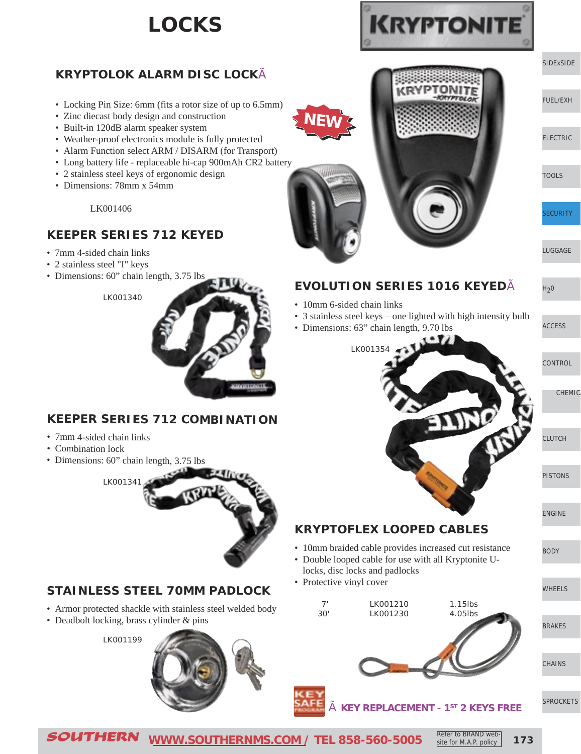## **LOCKS**

### **KRYPTOLOK ALARM DISC LOCK**

- Locking Pin Size: 6mm (fits a rotor size of up to 6.5mm)
- Zinc diecast body design and construction
- Built-in 120dB alarm speaker system
- Weather-proof electronics module is fully protected
- Alarm Function select ARM / DISARM (for Transport)
- Long battery life replaceable hi-cap 900mAh CR2 battery
- 2 stainless steel keys of ergonomic design
- Dimensions: 78mm x 54mm

### LK001406

### **KEEPER SERIES 712 KEYED**

- 7mm 4-sided chain links
- 2 stainless steel "I" keys
- Dimensions: 60" chain length, 3.75 lbs





### **KEEPER SERIES 712 COMBINATION**

- 7mm 4-sided chain links
- Combination lock
- Dimensions: 60" chain length, 3.75 lbs



### **STAINLESS STEEL 70MM PADLOCK**

- Armor protected shackle with stainless steel welded body
- Deadbolt locking, brass cylinder & pins

LK001199







### **EVOLUTION SERIES 1016 KEYED**

- 10mm 6-sided chain links
- 3 stainless steel keys one lighted with high intensity bulb
- Dimensions: 63" chain length, 9.70 lbs



- **KRYPTOFLEX LOOPED CABLES**
- 10mm braided cable provides increased cut resistance
- Double looped cable for use with all Kryptonite Ulocks, disc locks and padlocks
- Protective vinyl cover
	- 7' LK001210 1.15lbs 30' LK001230 4.05lbs
		-



[WHEELS](http://www.southernms.com/wp-content/uploads/2015/08/15_wheel.pdf)

[BODY](http://www.southernms.com/wp-content/uploads/2015/08/14_body.pdf)

 $H<sub>2</sub>0$ 

[ACCESS](http://www.southernms.com/wp-content/uploads/2015/08/08_accessories.pdf)

CHEMIC

**[CHAINS](http://www.southernms.com/wp-content/uploads/2015/08/17_chains.pdf)** 

[SPROCKETS](http://www.southernms.com/wp-content/uploads/2015/08/18_sprockets.pdf)

à **KEY REPLACEMENT - 1ST 2 KEYS FREE**

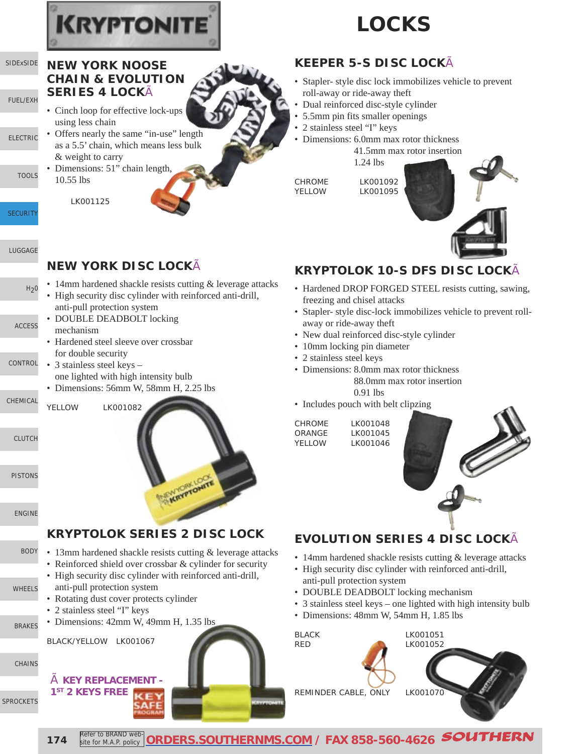

# **LOCKS**

# **CHAIN & EVOLUTION**

- **SERIES 4 LOCK**
- Cinch loop for effective lock-ups using less chain
- Offers nearly the same "in-use" length as a 5.5' chain, which means less bulk & weight to carry
	- Dimensions: 51" chain length, 10.55 lbs

LK001125

**NEW YORK NOOSE**

- 
- 
- 

### **KEEPER 5-S DISC LOCK**

- Stapler- style disc lock immobilizes vehicle to prevent roll-away or ride-away theft
- Dual reinforced disc-style cylinder
- 5.5mm pin fits smaller openings
- 2 stainless steel "I" keys
- Dimensions: 6.0mm max rotor thickness

1.24 lbs

CHROME LK001092 YELLOW LK001095



### **KRYPTOLOK 10-S DFS DISC LOCK**

- Hardened DROP FORGED STEEL resists cutting, sawing, freezing and chisel attacks
- Stapler- style disc-lock immobilizes vehicle to prevent rollaway or ride-away theft
- New dual reinforced disc-style cylinder
- 10mm locking pin diameter
- 2 stainless steel keys
- Dimensions: 8.0mm max rotor thickness 88.0mm max rotor insertion 0.91 lbs
- Includes pouch with belt clipzing

CHROME LK001048 ORANGE LK001045 YELLOW LK001046



## **EVOLUTION SERIES 4 DISC LOCK**

- 14mm hardened shackle resists cutting & leverage attacks
- High security disc cylinder with reinforced anti-drill, anti-pull protection system
- DOUBLE DEADBOLT locking mechanism
- 3 stainless steel keys one lighted with high intensity bulb
- Dimensions: 48mm W, 54mm H, 1.85 lbs

BLACK LK001051 RED LK001052 REMINDER CABLE, ONLY LK001070

YELLOW LK001082 KRYPTONE LOCK **KRYPTOLOK SERIES 2 DISC LOCK** • 13mm hardened shackle resists cutting & leverage attacks • Reinforced shield over crossbar & cylinder for security • High security disc cylinder with reinforced anti-drill, anti-pull protection system • Rotating dust cover protects cylinder • 2 stainless steel "I" keys • Dimensions: 42mm W, 49mm H, 1.35 lbs BLACK/YELLOW LK001067 à **KEY REPLACEMENT - 1ST 2 KEYS FREE**

• 14mm hardened shackle resists cutting & leverage attacks

- High security disc cylinder with reinforced anti-drill, anti-pull protection system
- DOUBLE DEADBOLT locking mechanism
- Hardened steel sleeve over crossbar for double security

**NEW YORK DISC LOCK**

- **[CONTROL](http://www.southernms.com/wp-content/uploads/2015/08/09_controls.pdf)** • 3 stainless steel keys – one lighted with high intensity bulb
	- Dimensions: 56mm W, 58mm H, 2.25 lbs

[CHEMICAL](http://www.southernms.com/wp-content/uploads/2015/08/10_chemicals.pdf)

[CLUTCH](http://www.southernms.com/wp-content/uploads/2015/08/11_clutch.pdf)

[SIDExSIDE](http://www.southernms.com/wp-content/uploads/2015/08/01_UTV.pdf)

[ELECTRIC](http://www.southernms.com/wp-content/uploads/2015/08/03_electrical.pdf)

**[TOOLS](http://www.southernms.com/wp-content/uploads/2015/08/04_tools.pdf)** 

[LUGGAGE](http://www.southernms.com/wp-content/uploads/2015/08/06_lugg.pdf)

 $H<sub>2</sub>0$ 

[ACCESS](http://www.southernms.com/wp-content/uploads/2015/08/08_accessories.pdf)

**[SECURITY](http://www.southernms.com/wp-content/uploads/2015/08/05_locks.pdf)** 

[FUEL/EXH](http://www.southernms.com/wp-content/uploads/2015/08/02_fuel_exh.pdf)

[PISTONS](http://www.southernms.com/wp-content/uploads/2015/08/12_pistons.pdf)

[ENGINE](http://www.southernms.com/wp-content/uploads/2015/08/13_engine.pdf)

### [BODY](http://www.southernms.com/wp-content/uploads/2015/08/14_body.pdf)

[WHEELS](http://www.southernms.com/wp-content/uploads/2015/08/15_wheel.pdf)

[BRAKES](http://www.southernms.com/wp-content/uploads/2015/08/16_brakes.pdf)

[CHAINS](http://www.southernms.com/wp-content/uploads/2015/08/17_chains.pdf)

[SPROCKETS](http://www.southernms.com/wp-content/uploads/2015/08/18_sprockets.pdf)



- 
-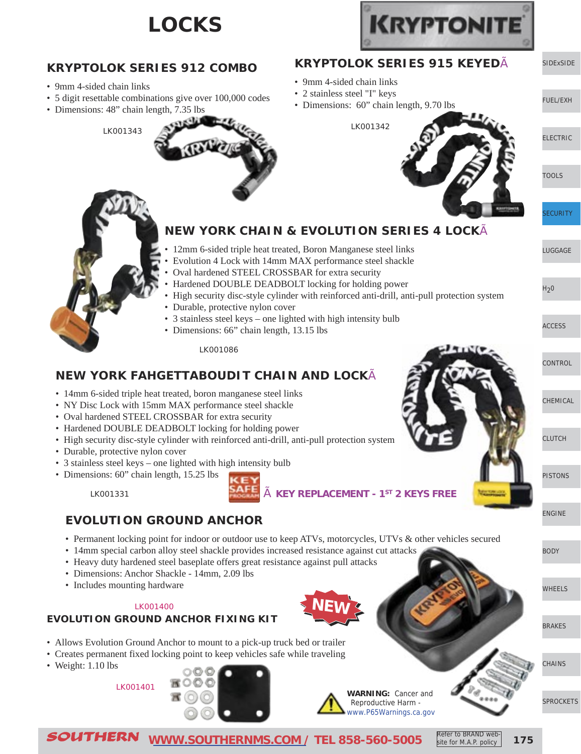## **LOCKS**





SOUTHERN **[WWW.SOUTHERNMS.COM](http://m.southernms.com) / TEL 858-560-5005 175**

Refer to BRAND website for M.A.P. policy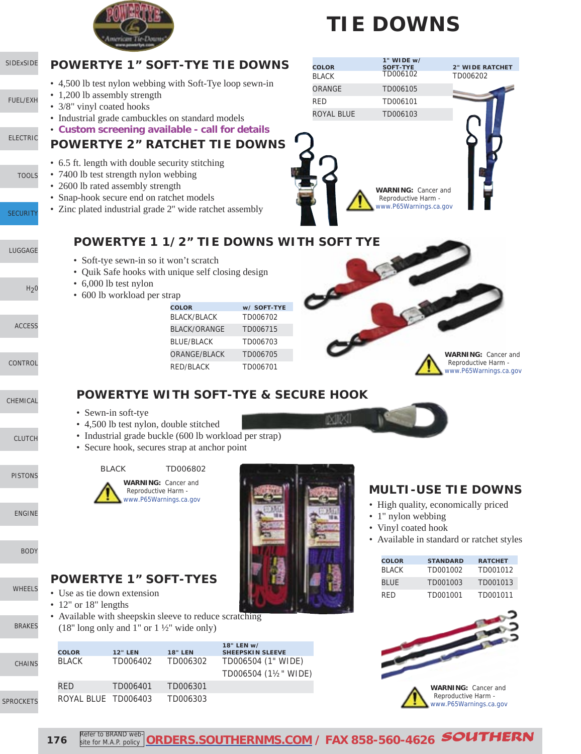

# **TIE DOWNS**

### [SIDExSIDE](http://www.southernms.com/wp-content/uploads/2015/08/01_UTV.pdf) [ELECTRIC](http://www.southernms.com/wp-content/uploads/2015/08/03_electrical.pdf) [FUEL/EXH](http://www.southernms.com/wp-content/uploads/2015/08/02_fuel_exh.pdf) [LUGGAGE](http://www.southernms.com/wp-content/uploads/2015/08/06_lugg.pdf) **[SECURITY](http://www.southernms.com/wp-content/uploads/2015/08/05_locks.pdf) [TOOLS](http://www.southernms.com/wp-content/uploads/2015/08/04_tools.pdf)**  $H<sub>2</sub>0$ [CONTROL](http://www.southernms.com/wp-content/uploads/2015/08/09_controls.pdf) [ACCESS](http://www.southernms.com/wp-content/uploads/2015/08/08_accessories.pdf) [CHEMICAL](http://www.southernms.com/wp-content/uploads/2015/08/10_chemicals.pdf) **WARNING:** Cancer and Reproductive Harm [www.P65Warnings.ca.gov](http://www.P65Warnings.ca.gov) **POWERTYE WITH SOFT-TYE & SECURE HOOK POWERTYE 2" RATCHET TIE DOWNS** • 6.5 ft. length with double security stitching • 7400 lb test strength nylon webbing • 2600 lb rated assembly strength • Snap-hook secure end on ratchet models • Zinc plated industrial grade 2'' wide ratchet assembly **POWERTYE 1" SOFT-TYE TIE DOWNS** • 4,500 lb test nylon webbing with Soft-Tye loop sewn-in • 1,200 lb assembly strength • 3/8" vinyl coated hooks • Industrial grade cambuckles on standard models • **Custom screening available - call for details POWERTYE 1 1/2" TIE DOWNS WITH SOFT TYE** • Soft-tye sewn-in so it won't scratch • Quik Safe hooks with unique self closing design • 6,000 lb test nylon • 600 lb workload per strap **COLOR 1" WIDE w/ SOFT-TYE 2" WIDE RATCHET** BLACK TD006102 TD006202 ORANGE TD006105 RED TD006101 ROYAL BLUE TD006103 **COLOR w/ SOFT-TYE** BLACK/BLACK TD006702 BLACK/ORANGE TD006715 BLUE/BLACK TD006703 ORANGE/BLACK TD006705 RED/BLACK TD006701 **WARNING:** Cancer and Reproductive Harm [www.P65Warnings.ca.gov](http://www.P65Warnings.ca.gov)

• Sewn-in soft-tye

• Use as tie down extension

• 12" or 18" lengths

- 4,500 lb test nylon, double stitched
- Industrial grade buckle (600 lb workload per strap)
- Secure hook, secures strap at anchor point

**WARNING:** Cancer and Reproductive Harm [www.P65Warnings.ca.gov](http://www.P65Warnings.ca.gov)

BLACK TD006802

• Available with sheepskin sleeve to reduce scratching

[PISTONS](http://www.southernms.com/wp-content/uploads/2015/08/12_pistons.pdf)

[CLUTCH](http://www.southernms.com/wp-content/uploads/2015/08/11_clutch.pdf)

[ENGINE](http://www.southernms.com/wp-content/uploads/2015/08/13_engine.pdf)

[BODY](http://www.southernms.com/wp-content/uploads/2015/08/14_body.pdf)

[WHEELS](http://www.southernms.com/wp-content/uploads/2015/08/15_wheel.pdf)

[BRAKES](http://www.southernms.com/wp-content/uploads/2015/08/16_brakes.pdf)

[CHAINS](http://www.southernms.com/wp-content/uploads/2015/08/17_chains.pdf)

[SPROCKETS](http://www.southernms.com/wp-content/uploads/2015/08/18_sprockets.pdf)

RED TD006401 TD006301 ROYAL BLUE TD006403 TD006303

**COLOR 12" LEN 18" LEN**

(18" long only and 1" or  $1\frac{1}{2}$ " wide only)

**POWERTYE 1" SOFT-TYES**

**18" LEN w/ SHEEPSKIN SLEEVE** BLACK TD006402 TD006302 TD006504 (1" WIDE) TD006504 (1½" WIDE)

### **MULTI-USE TIE DOWNS**

- High quality, economically priced
- 1" nylon webbing
- Vinyl coated hook
- Available in standard or ratchet styles

| <b>COLOR</b>  | <b>STANDARD</b> | <b>RATCHET</b> |
|---------------|-----------------|----------------|
| <b>BI ACK</b> | TD001002        | TD001012       |
| BI UF         | TD001003        | TD001013       |
| RFD           | TD001001        | TD001011       |



| 176 |  | Refer to BRAND web- ORDERS.SOUTHERNMS.COM / FAX 858-560-4626 SOUTHERN |  |
|-----|--|-----------------------------------------------------------------------|--|
|-----|--|-----------------------------------------------------------------------|--|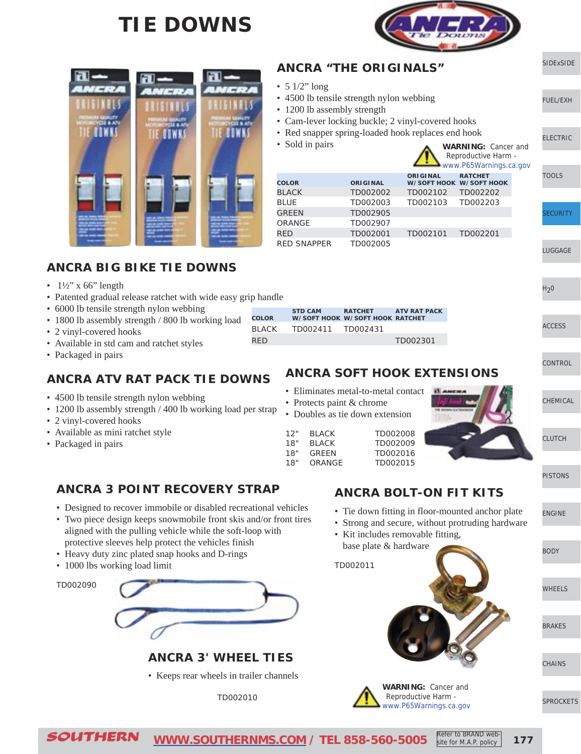## **TIE DOWNS**



[SIDExSIDE](http://www.southernms.com/wp-content/uploads/2015/08/01_UTV.pdf)

[ELECTRIC](http://www.southernms.com/wp-content/uploads/2015/08/03_electrical.pdf)

[TOOLS](http://www.southernms.com/wp-content/uploads/2015/08/04_tools.pdf)

[LUGGAGE](http://www.southernms.com/wp-content/uploads/2015/08/06_lugg.pdf)

[CONTROL](http://www.southernms.com/wp-content/uploads/2015/08/09_controls.pdf)

[CHEMICAL](http://www.southernms.com/wp-content/uploads/2015/08/10_chemicals.pdf)

[PISTONS](http://www.southernms.com/wp-content/uploads/2015/08/12_pistons.pdf)

[ENGINE](http://www.southernms.com/wp-content/uploads/2015/08/13_engine.pdf)

[BODY](http://www.southernms.com/wp-content/uploads/2015/08/14_body.pdf)

[WHEELS](http://www.southernms.com/wp-content/uploads/2015/08/15_wheel.pdf)

[CLUTCH](http://www.southernms.com/wp-content/uploads/2015/08/11_clutch.pdf)

[ACCESS](http://www.southernms.com/wp-content/uploads/2015/08/08_accessories.pdf)

 $H<sub>2</sub>0$ 

**[SECURITY](http://www.southernms.com/wp-content/uploads/2015/08/05_locks.pdf)** 

[FUEL/EXH](http://www.southernms.com/wp-content/uploads/2015/08/02_fuel_exh.pdf)



### **ANCRA BIG BIKE TIE DOWNS**

- $1\frac{1}{2}$ " x 66" length
- Patented gradual release ratchet with wide easy grip handle
- 6000 lb tensile strength nylon webbing
- **COLOR BLACK** • 1800 lb assembly strength / 800 lb working load
- 2 vinyl-covered hooks
- Available in std cam and ratchet styles
- Packaged in pairs

### **ANCRA ATV RAT PACK TIE DOWNS**

- 4500 lb tensile strength nylon webbing
- 1200 lb assembly strength / 400 lb working load per strap
- 2 vinyl-covered hooks
- Available as mini ratchet style
- Packaged in pairs

|  | <b>ANCRA 3 POINT RECOVERY STRAP</b> |  |
|--|-------------------------------------|--|
|  |                                     |  |

- Designed to recover immobile or disabled recreational vehicles
- Two piece design keeps snowmobile front skis and/or front tires aligned with the pulling vehicle while the soft-loop with protective sleeves help protect the vehicles finish
- Heavy duty zinc plated snap hooks and D-rings
- 1000 lbs working load limit

TD002090



**ANCRA 3' WHEEL TIES**

• Keeps rear wheels in trailer channels

TD002010

| <b>COLOR</b> | <b>STD CAM</b>    | <b>RATCHET</b><br>W/SOFT HOOK W/SOFT HOOK RATCHET | <b>ATV RAT PACK</b> |
|--------------|-------------------|---------------------------------------------------|---------------------|
| BLACK        | TD002411 TD002431 |                                                   |                     |
| RED.         |                   |                                                   | TD002301            |

**ANCRA "THE ORIGINALS"**

• 4500 lb tensile strength nylon webbing

• Cam-lever locking buckle; 2 vinyl-covered hooks • Red snapper spring-loaded hook replaces end hook

BLACK TD002002 TD002102 TD002202 BLUE TD002003 TD002103 TD002203

RED TD002001 TD002101 TD002201

• 1200 lb assembly strength

**COLOR ORIGINAL**

GREEN TD002905 ORANGE TD002907

RED SNAPPER TD002005

 $\bullet$  5 1/2" long

• Sold in pairs

### **ANCRA SOFT HOOK EXTENSIONS**

• Eliminates metal-to-metal contact

| 12" | <b>BLACK</b> | TD002008 |
|-----|--------------|----------|
| 18" | BI ACK       | TD002009 |
| 18" | GRFFN        | TD002016 |
| 18" | ORANGE       | TD002015 |
|     |              |          |



**WARNING:** Cancer and Reproductive Harm [www.P65Warnings.ca.gov](http://www.P65Warnings.ca.gov)

**ORIGINAL W/SOFT HOOK RATCHET W/SOFT HOOK**

### **ANCRA BOLT-ON FIT KITS**

- Tie down fitting in floor-mounted anchor plate
- Strong and secure, without protruding hardware
- Kit includes removable fitting, base plate & hardware



Refer to BRAND website for M.A.P. policy





**[CHAINS](http://www.southernms.com/wp-content/uploads/2015/08/17_chains.pdf)** 

[BRAKES](http://www.southernms.com/wp-content/uploads/2015/08/16_brakes.pdf)



|                                 |                           | - Emminales metai-to-metai comaet |  |
|---------------------------------|---------------------------|-----------------------------------|--|
|                                 | • Protects paint & chrome |                                   |  |
| • Doubles as tie down extension |                           |                                   |  |
| 12"                             | <b>BI ACK</b>             | TD002008                          |  |